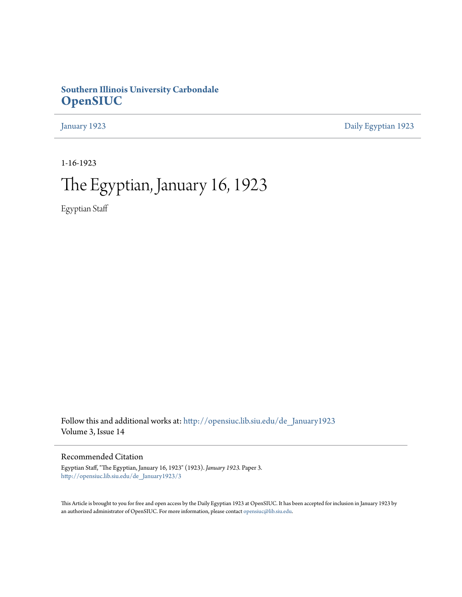### **Southern Illinois University Carbondale [OpenSIUC](http://opensiuc.lib.siu.edu?utm_source=opensiuc.lib.siu.edu%2Fde_January1923%2F3&utm_medium=PDF&utm_campaign=PDFCoverPages)**

[January 1923](http://opensiuc.lib.siu.edu/de_January1923?utm_source=opensiuc.lib.siu.edu%2Fde_January1923%2F3&utm_medium=PDF&utm_campaign=PDFCoverPages) [Daily Egyptian 1923](http://opensiuc.lib.siu.edu/de_1923?utm_source=opensiuc.lib.siu.edu%2Fde_January1923%2F3&utm_medium=PDF&utm_campaign=PDFCoverPages)

1-16-1923

# The Egyptian, January 16, 1923

Egyptian Staff

Follow this and additional works at: [http://opensiuc.lib.siu.edu/de\\_January1923](http://opensiuc.lib.siu.edu/de_January1923?utm_source=opensiuc.lib.siu.edu%2Fde_January1923%2F3&utm_medium=PDF&utm_campaign=PDFCoverPages) Volume 3, Issue 14

Recommended Citation

Egyptian Staff, "The Egyptian, January 16, 1923" (1923). *January 1923.* Paper 3. [http://opensiuc.lib.siu.edu/de\\_January1923/3](http://opensiuc.lib.siu.edu/de_January1923/3?utm_source=opensiuc.lib.siu.edu%2Fde_January1923%2F3&utm_medium=PDF&utm_campaign=PDFCoverPages)

This Article is brought to you for free and open access by the Daily Egyptian 1923 at OpenSIUC. It has been accepted for inclusion in January 1923 by an authorized administrator of OpenSIUC. For more information, please contact [opensiuc@lib.siu.edu.](mailto:opensiuc@lib.siu.edu)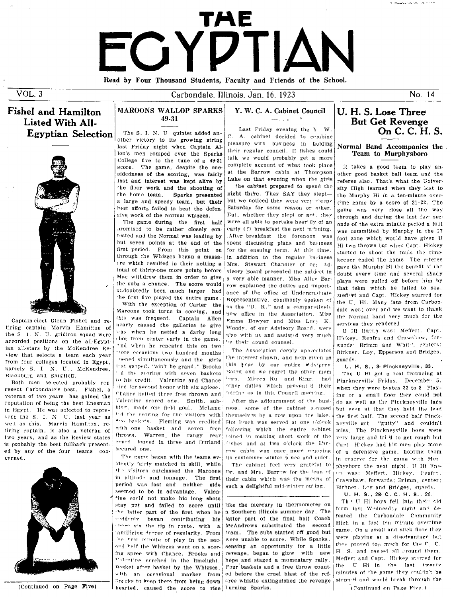# TAE FGYDTIAI Read by Four Thousand Students. Faculty and Friends of the School.

Carbondale, Illinois, Jan. 16, 1923

 $VOL.3$ 

### **Fishel and Hamilton** Listed With All-

**Egyptian Selection** 



Captain-elect Glenn Fishel and retiring captain Marvin Hamilton of the S. J. N. U. gridiron squad were accorded positions on the all-Egyptian all-stars by the McKendree Review that selects a team each year from four colleges located in Egypt, namely S. I. N. U., McKendree, Blackburn and Shurtleff.

Both men selected probably represent Carbondale's best. Fishel, a veteran of two years, has gained the reputation of being the best linesman in Egypt. He was selected to represent the S. I. N. U. last year as well as this. Marvin Hamilton, retiring captain, is also a veteran of two years, and as the Review states is probably the best fullback presented by any of the four teams concerned.



### **MAROONS WALLOP SPARKS** Y. W. C. A. Cabinet Council

19.21 The S. I. N. U. quintet added another victory to its growing string last Friday night when Captain Allen's men romped over the Sparks College five to the tune of a 49-31 score. The game, despite the onesidedness of the scoring, was fairly

fast and interest was kept alive by the floor work and the shooting of the home teem Sparks presented a large and speedy team, but their hest efforts failed to beat the defensive work of the Normal whizzes.

The game during the first half promised to be rather closely contested and the Normal was leading by but seven points at the end of the first period. From this point on through the Whizzes began a massa-(re which resulted in their netting a total of thirty-one more points before Mac withdrew them in order to give the subs a chance. The score would undoubtedly been much larger had the first five played the entire game.

With the exception of Carter the Maroons took turns in scoring, and this was frequent. Captain Allen nearly caused the galleries to give way when he netted a darby long shot from center early in the game. 'nd when he repeated this on two more eccasions two hundred mouths nened simultaneously and the girls inst gasped. "ain't he grand." Brooks "I the scoring with seven baskets to his credit. Valentine and Chance ried for second honor with six antece. Chance netted three free thrown and Valentine scored one. Smith, subbing, made one field goal. McLane hid the scoring for the visitors with Aro baskets. Fleming was credited with one basket and seven free throws. Warren the rangy rear zuard looped in three and Durland secured one

The game began with the teams evidently fairly matched in skill, while the visitors outclassed the Maroons in altitude and tonnage. The first period was fast and neither side seemed to be in advantage. Valentine could not make his long shots stay put and failed to score until the latter part of the first when he suddenly began contributing his there yis the tip in route, with a 'antilizing degree of regularity. From the first minute of play in the secand half the Whizzes went on a scoring spree with Chance, Brooks and Volcatine nerched in the limelight. Basket after basket by the Whizzes. with an occasional marker from Snarks to keep them from being down hearted. caused the score to rise lurning Sparks.

Last Friday evening the Y W C. A. cabinet decided to combine pleasure with business in holding their regular council. If fishes could talk we would probably get a more complete account of what took place at the Barrow cabin at Thompson Lake on that evening when the girls

the cabinet prepared to spend the night there. They SAY they sleptbut we noticed they were very stagpy Saturday for some reason or other. Eut, whether they slept or not, they were all able to partake heartily of an early (?) breakfast the next mcrning. After breakfast the forenoon was spent discussing plans and business for the ensuing term. At this time. in addition to the regular business Mrs. Stewart Chandler of our Advisory Board presented the subject in a very able manner. Miss Alice Barrow explained the duties and importance of the office of Undergraduate Representative, commonly spoken of<br>as the "U. R." and a comparatively new office in the Association. Miss Emma Bowyer and Miss Lucy K Woody, of our Advisory Board, were a'so with us and assisted very much by their sound counsel.

The Association deeply appreciates the interest shown, and help given us this wear by our entire wilvieray Board and we regret the other mem hers Misses Ru and King, had other duties which prevent d their joining us in this Council meeting.

After the adjournment of the business, some of the cabinet amused themselv's by a row upon the lake Hot lunch was served at one o'clock following which the entire cabinet thined in making short work of the dishes and at two o'clock the L'armw cabin was once more enjoying its customary winter p ace and quiet.

The cabinet feel very grateful to Dr. and Mrs. Barrow for the lean of their cabin which was the means of such a delightful mid-winter outing.

like the mercury in thermometer on a Southern Illinois summer day. The latter part of the final half Coach McAndrews substituted the second team. The subs started off good but were unable to score. While Sparks, sensing an opportunity for a little revenge, began to glow with new hope and staged a momentary rally. Four haskets and a free throw counted before the cruel blast of the referee whistle extinguished the revenge

### U. H. S. Lose Three **But Get Revenge** On C. C. H. S.

No. 14

### Normal Band Accompanies the Team to Murphysboro

It takes a good team to play another good basket ball team and the referee also. That's what the University High learned when they lost to the Murphy Hi in a ten-minute overtime game by a score of 21-22. The game was very close all the way through and during the last few seconds of the extra minute period a foul was committed by Murphy in the 17 foot zone which would have given U Hi two throws but when Capt. Hickey started to shoot the fouls the timekeeper ended the game. The referee gave the Murphy Hi the henefit of the soubt every time and several shady plays were pulled off before him by that team which he failed to see. Meffert and Capt. Hickey starred for the U. Hi. Many fans from Carbondale went over and we want to thank the Normal band very much for the services they rendered.

U Hi lineup was: Meffert, Capt. Hickey, Renfro and Crawshaw, forwards; Brimm and White', centers; Birkner, Loy, Epperson and Bridges, guards.

U. H. S., 8- Pinckneyville, 33.

The U Hi got a real trouncing at Pinckneyville' Friday. December 5, when they were beaten 33 to 8. Playing on a small floor they could not do as well as the Pinckneyville lads but even at that they held the lead the first half. The second half Pincknevville gct "gutty" and couldn't miss. The Pinckneyville boys were very large and tri d to get rough but Capt. Hickey had his men play more of a defensive game. holding them in reserve for the game with Murphyshoro the next night. U Hi lineun was: Meffert, Hickey, Renfro, Crawshaw, forwards: Brimm, center; Birkner, Lov and Bridges, guards.

U. H. S., 28 C. C. H. S., 26.

Th ' U Hi hoys fell into their old ferm last Wodnesday night and defeated the Carbondale Community High in a fast ten minute overtime game. On a small and slick floor they were playing at a disadvantage but they proved too much for the C. C. H S. and passed all cround them. Meffert and Capt. Hickey starred for U Hi in the last twenty the minutes of the game they couldn't be stepp wi and would break through the (Continued on Page Five.)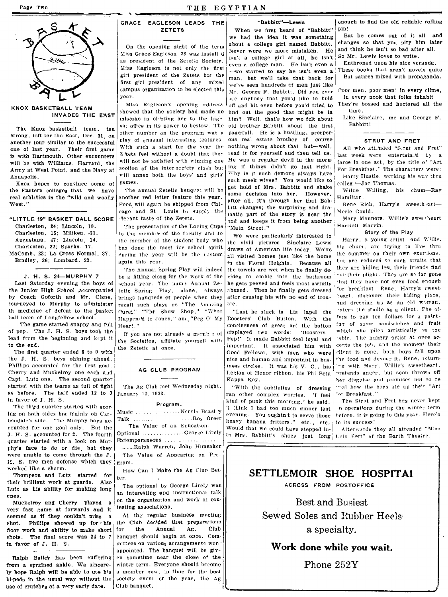

strong, left for the East, Dec. 31, on  $\begin{bmatrix} 1 & 0 & 0 \\ 0 & 0 & 1 \end{bmatrix}$  other number on the program was a page-full. He is a hustling, prosper-<br>continuous decline to the successive of production interesting features. ous r &nother tour similar to the successful Dlay of unusual interesting features. ous real estate brother-----<:>f course STRUT AND FRET one of last year. Their first game With such a start for the year the nothing wrong about that, but—well,<br>is mith Desimenth, Other executions of Z.tets feel without a doubt that they lead it for yourself and then tell us. is with Dartmouth. Other encounters  $\begin{bmatrix} Z \text{ }^\text{He} \text{ } 1 \end{bmatrix}$  will not be satisfied with winning one  $\begin{bmatrix}$  Head it for yourself and then tell us. last week were entertain it by a will be with Williams. Here are th will be with Williams, Harvard, the will not be satisfied with winning one He was a regular devil in the morn- farce in one act, by the title o<sup>t</sup> "Art Army at West Point, and the Navy at section of the inter-society clash but ing if things didn't go just right.  $\frac{1}{100}$  For Breakf3st." The characters were:<br>Annapolis was the Navy at will annex both the boys' and girls

the Eastern colleges that we have The annual Zetetic banquet will be sett hold of Mrs. Babbitt and shake willie Willing, his chum-Ray<br>real athletics in the "wild and woolly another red letter feature this year. Into the a real athletics in the "wild and woolly another red letter feature this year. | after all, it's through her that Bab- Hamilton.<br>West." Rene Rich, Harry's sweetheart-

"LITTLE 19" BASKET BALL SCORE Charleston, 24; Lincoln, 10. Charleston, 15; Miliken, -31. Augustana, 47; Lincoln. 14. Charleston, 22; Sparks, 17. MaComb, 23; La Cross Normal, 37. Bradley, 26; Lombard, 23.

J. H. S. 24-MURPHY 7

Last Saturday evening the boys of the Junior High School ,accompanied hy Coach Goforth and Mr. Cisne, iourneyed to MUrphy to administer th medicine of defeat to the basket ball team of Longfellow school.

The game started snappy and fuII of pep. The J. H. S. boys took the lead from the beginning and  $k$ <sub>e</sub>pt it to the end,

The first quarter ended 8 to 0 wIth the J. H. S. boys shining ahead. Phillips accounted for the first goal. Cherry and Muckelroy one each and Capt. Lutz one. The second quarter started with the teams as full of fight as before. The half ended 12 to 3 In favorofJ. H. S.

The third quarter started with sooring on both sides hut mainly on Carbnndale's side. Tbe Murphy boys ac- Talk .... counted for one goal only. But the J. H. S. accounted for 2. The fourth 'luarter started with a look on Mur· phy's face to do or die, but they were unable to come through the J. H. S. five men defense which they worked Ilke a charm.

Thompson and Lutz starred for their brilliant work at guards. Also Lutz as his ability for makIng long cnes.

Muckelroy and Cherry played a very fast game at forwards and it seemed as if they couldn't miss a ~hot. Phl11lps showed up for' his floor work and ability to make short shots. The final score was 24 to 7 In favor of J, H. S.

from a sprained ankle. We sincere- winter term. Everyone should become ly hope Ralph will be able to use his a member now, in time for the best bl-peds in the usual way without the society event of the year, the Ag use of crutches at a very early date.  $|$  Club banquet.

### GRACE EAGLESON LEADS THE ZETETS

KNOX BASKETBALL TEAM Miss Eagleson's opening address off and hit even before you'd tried to They're bossession and heavily had made no find out the good that might be in INVADES THE EAST showed that the society had made no find out the good that might be in time,<br>INVADES THE EAST mistake in electing her to the high tim? Well that's how we felt about Like Sinclaire, me and George F. The Knox basketball team, ten st office in its power to bestow. The old brother Babbitt about the first  $\frac{1}{2}$  of the first Babbitt about the first Babbitt about the first Babbitte Babbitte Babbitte Babbitte Babbitte B Annapolis.  $\begin{bmatrix} \text{will}\ \text{annex}\ \text{both}\ \text{the}\ \text{boys}\ \text{and}\ \text{girls}\ \end{bmatrix}$  Why is it such demons always have Harry Hustle, working his way thru

> Food, will again be shipped from Chi- $\begin{bmatrix} 1 & 1 & 2 \\ 2 & 1 & 3 \end{bmatrix}$  Lift changes; the surprising and dracago and St. Louis to supply the  $\frac{1}{2}$  in  $\frac{1}{2}$  in  $\frac{1}{2}$  is the surprising and draw  $\frac{1}{2}$ . Merle Gould.

The presentation of the Loving Cups | Main Street." | Harriett Marvin.<br>
to the member of the ficulty and to  $\frac{1}{N}$  are expressed in the cases of the Play again this year.

The Annual Spring Play will indeed he a fitting close for the work of the school year. The name Annual Zetetic Spring Play, alone, always brings hundreds of people when they recall such plays as "The Amazing Cure;" "The Show Shop," "What Happen: d to Jones," and "Peg O' My Heart."

If you are not already a memb 'r of the Societies, affiliate yourself with the Zetetic at once.

### AG CLUB PROGRAM

The Ag Club met Wednesday night. January 10, 1923.

#### Program.

Music ................. Norvin Bassl 'y . , . Roy Greer

Optional ............... George Lirely Extemporaneous .... .............

....... Ralph Warren, John Hunsaker / The Value of Appearing on Program.

How Can I Make the Ag Club Better.

The optional by George Lirely was an interesting and instructional talk on the organization and work of contesting associations.

At the regular business meeting the Club decided that preparations for the Annual Ag. Club banquet should begin at once. Committees on various arrangements were appointed. The banquet will be giv-Ralph Bailely has been suffering en sometime near the close of the

#### "Babbitt"-Lewis

Wben we first heard of "Babbitt" we had the idea it was something about a college girl named Babhitt. On the opening night of the term shout a college girl named Babbitt. Changes so that you pity find at the Isn't so bad after all.<br>Miss Grace Eagleson 23 was install d Never were we more mistaken. He and think he isn't so Miss Grace Eagleson 23 was install if  $\begin{bmatrix} 1 & 1 & 1 \\ 1 & 1 & 1 \end{bmatrix}$  a college girl at all, he isn't So Mr. Lewis loves to write,<br>as president of the Zetetle Society.  $\begin{bmatrix} 1 & 1 & 1 \\ 0 & 1 & 1 \end{bmatrix}$  and  $\begin{bmatrix} 1 & 1 & 1 \\$ as president of the ZeteLc Society. even a college man. He isn't even a.<br>Miss Eagleson is not only the first i Miss Eagleson is not only the first we started to say he isn't even a These books that aren't novels quite girl president of the Zetets but the  $\frac{1}{m}$  and hut we'll take that hack for But satires mixed with propaganda. girl president of the Zetets but the  $\begin{bmatrix} \text{map} & \text{in} \\ \text{map} & \text{in} \end{bmatrix}$  that the man, but we'll take that back for first g'rl president of any mixed  $w$ e've seen hundreds of men just like<br>campus organization to be elected this  $w_0$ , Coorga E. Bobbitt, Did von over campus organization to be elected this  $\begin{bmatrix} Mr, & \text{George F. Babbitt. Did you ever } & \text{Poor men, poor men! in every climate}, \\ \text{Mr. George F. Babbitt. Did you ever } & \text{Poor men, poor men! in every climate}. \end{bmatrix}$ ear.<br>Miss Eagleson's opening address off and hit even before you'd tried to They're bossed and hectored all the him? Well. that's how we felt about Like Sinclaire, method is the Sinclaire, method is the Sinclaire, me and George F. Knox hopes to convince some of rames. such meek wives? You would like to (-olleg ~Joc Thomas inatic part of the story is near the He rant taste of the Zetets.<br>The presentation of the Loving Cups | that is from being another, Mary Manners, Willie's swertheart

We were particularly interested in  $\begin{bmatrix} 0 & 0 & 0 \\ 0 & 0 & 0 \end{bmatrix}$  and Nillie. after causing his wife no end of trou-

"Last he stuck in his lapel the Exposters' Club Button. With the  $f$ <sup>p</sup>ers to pay ten dollars for a paint-<br>conciseness of great art the  $\frac{1}{2}$  and  $\frac{1}{2}$  of some sandwiches and fruit conciseness of great art the button  $\frac{1}{2}$  fisplayed two words: 'Boosters<sup>-</sup> , which she piles artistically on the part of the part of the part of the part of the part of the part of the part of the part of the part of the part of the part of the part of Pep!' It made Babbitt feel loyal and table. The hungry artist at once ac-<br>important it associated him with cents the job, and the moment their important. It associated him with Good Fellows, with men who were | elient is gone, both hays fall upon<br>nice and human and important in has. | the food and devour it. Rene, returnnice and human and important in business circles. It was his V. C., his ing with Mary, Willie's sweetheart,<br>Legion of Honor ribbon, his Phi Beta pretends anger, but soon throws off Legion of Honor ribbon. his Phi Beta Kappa Key. **her disguise and promises not to re** 

ran other complex worries. 'I feel ' or Breakfast."<br>kind of punk this morning ' he sets. The Strut and Fret has never kept kind of punk this morning,' he said. heavy banana fritters," etc., etc. to its success!<br>Would that we could have stepped in-<br>Afterwards they all attended "Miss Would that we could have stepped into Mrs. Babbitt's shoes just long: Lulu Fett" at the Barth Theatre

enougb to find the old reliable rolling pin!

But he comes out of it all and<br>changes so that you pity him later

the member of the student body who the vivid pictures Sinclaire Lewis Harry, a young artist, and Willie.<br>has done the most for school spirit draws of American life today. Wo're his chum, are trying to live thru draws of American life today. We've his chum, are trying to live thru<br>all virited hamse dust lind the hams, the summer on their own exertions. during the year will be the custom all visited homes just like the home the summer on their own exertions. In the Floral Heights. Because all  $\frac{1}{2}$  are reduced to such straits that the towels are wet when he finally de- $t$  they are hiding lest their riencs hide<br>tides to amble, into the hethroom. out their plight. They are so far gone cides to amble into the bathroom  $\sim$ ut their plight. They are so far gone<br>he sets peered and feels weather that they have not even food enough he gets peeved and feels most awfully, that they have not even food enough<br>shuged. Then he finally gets dressed for breakfast. Rene, Harry's sweetchused. Then he finally gets dressed 'or breakfast. Rene, Harry's sweet-<br>after causing his wife no end of trou. Teart, discovers their hiding place, b'e.  $\begin{bmatrix} 1 & -1 & -1 & -1 & -1 \\ 0 & -1 & -1 & -1 \\ 0 & -1 & -1 & -1 \end{bmatrix}$  and dressing up as an cld w.man, "With the subtleties of dressing "eal how the boys ate up their "Art<br>in other complex worries. "I feel for Breakfast."

> '1 think I had too much dinner last in operations during the winter term evening. You oughtn't to serve those hefore, it is going to this year. Here's

### SETTLEMOIR SHOE HOSPITAl

Best and Busiest Sewed Soles and Rubber Heels a specialty.

Work done while you wait.

Phone 252Y

~-------------------------------------------~,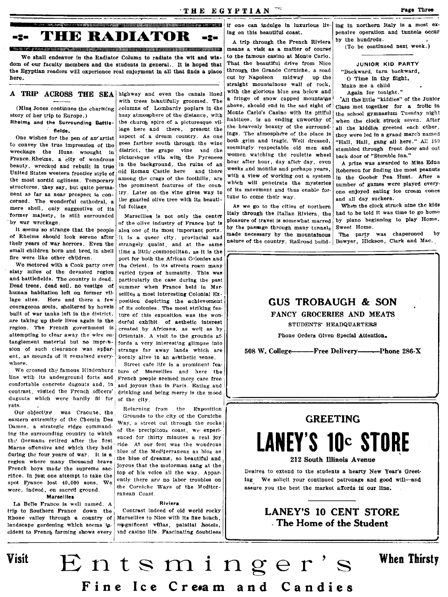<u>nnamosmovanno anno manipulikanno anno 1999 anno 1999. Anno 1999 anno 1999 anno 1999 anno 1999 anno 1999 ann anno 1999 ann anno 1999. Is a most ex-</u> **THE RADIATOR** -2--2-

**CORPORATION CONTINUES INTO A REPORT OF A CONTINUES INTO A REPORT OF A CONTINUES OF A CONTINUES OF A CONTINUES OF** We shall endeavor in the Radiator Column to radiate the wit and wisdom of our faculty members and the students in general. It is hoped that the Egyptian readers will experience real enjoyment in all that finds a place here.

### A TRIP ACROSS THE SEA highway and even the canals lined

(Miss Jones continues the charming story of her trip to Europe.) Rheims and the Surrounding Battle- $\cdot$  fields.

One wishes for the pen of an'artist to convey the true impression of the wreckage the Huns wrought in France.Rheims, a city of wondrous beauty, wrecked and rebuilt in true United States western frontier style of the most sordid ugliness. Temporary structures, they say, but quite permanent as far as near prospect is concerned. The wonderful cathedral, a mere shell, only suggestive of its

former majesty, is still surrounded by war wreckage. It seems so strange that the people of Rheims should look serene after their years of war horrors. Even the small children born and bred in shell

fire were like other children

We motored with a Cook party over sixty miles of the devasted region and battlefields. The country is dead. Dead trees, dead soil, no vestige of human habitation left on former village sites. Here and there a few courageous souls, sheltered by hovels built of war tanks left in the district. are taking up their lives again in the region. The French government is attempting to clear away the wire entanglement material but no impression of such clearance was apparent, as mounds of it remained everywhere.

We crossed the famous Hindenburg line with its underground forts and confortable concrete dugouts and, in contrast, visited the French officers' | drinking and being merry is the mood dugouts which were hardly fit for rats

Our objective was Craoune, the eastern extremity of the Chemin Des Dames, a strategic ridge commanding the surrounding country to which the Germans retired after the first Marne offensive and which they held during the four years of war. It is a region where many thousand brave French boys made the supreme sacrifice. In just one attempt to take the spot France lost 40,000 sons. We were, indeed, on sacred ground.

**Marseilles** 

La Belle France is well named. A trip to Southern France down the Rhone valley through a country of landscape gardening which seems incident to French farming shows every

**Visit** 

with trees beautifully groomed. The columns of Lombardy poplars in the hazy atmosphere of the distance, with the church spire of a picturesque village here and there, present the aspect of a dream country. As one goes farther south through the wine district, the grape vine and the picturesque villa with the Pyrenees in the background, the ruins of an old Roman Castle here and there among the crags of the foothills, are the prominent features of the country. Later on the vine gives way to the gnarled olive tree with its beautiful foliage

Marseilles is not only the center of the olive industry of France but is also one of its most important ports. It is a queer city, provincial and strangely quaint, and at the same time a little' cosmopolitan, as it is the port for both the African Colonies and the Orient. In its streets roam many varied types of humanity. This was particularly the case during the past summer when France held in Marseilles a most interesting Colonial Exposition depicting the achievement of its colonies. The most striking feature of this exposition was the wonderful exhibit of aethetic interest created by Africans, as well as by Orientals. A visit to the grounds affords a very interesting glimpse into strange far away lands which are keenly alive in an assihetic sense.

Street cafe life is a prominent feature of Marseilles and here the French peeple seemed more care free and joyous than in Paris. Eating and of the city.

Returning from the Exposition Grounds to the city of the Corniche Way, a street cut through the rocks! of the precipitous coast, we experienced for thirty minutes a real joy ride. At our feet was the wondrous blue of the Mediterranean as blue as the blue of dreams, so beautiful and joyous that the motorman sang at the top of his voice all the way. Apparently there are no labor troubles on the Corniche Ways of the Mediterranean Coast

### Riviera

Contrast indeed of old world rocky Marseilles to Nice with its fine beach. mpgnificent villas, palatial hotels, and casino life. Fascinating doubtless ing on this beautiful coast.

A trip through the French Riviera means a visit as a matter of course to the famous casino at Monte Carlo. That the beautiful drive from Nice through the Grande Corniche, a road cut by Napoleon midway up the straight mountainous wall of rock, with the glorious blue sea below and a fringe of snow capped mountains above, should end in the sad sight of Monte Carlo's Casino with its pitiful habitues, is an ending unworthy of the heavenly beauty of the surroundings. The atmosphere of the place is both grim and tragic. Well dressed, seemingly respectable old men and women watching the roulette wheel hour after hour, day after day, even weeks and months and perhaps years, with a view of working out a system which will penetrate the mysteries of its movement and thus enable fortune to come their way.

As we go to the cities of northern Italy through the Italian Riviera, the pleasure of travel is somewhat marred by the passage through many tunnels made necessary by the mountainous nature of the country. Railroad build-

pensive operation and tunnels occur by the hundreds.

(To be continued next week.)

#### JUNIOR KID PARTY

"Backward, turn backward, O Time in thy flight.

Make me a child Again for tonight."

All the little "kiddies" of the Junior Class met together for a frolic in the school gymnasium Tuesday night when the clock struck seven. After all the kiddles greeted each other, they were led in a grand march named "Hail, Hail, gang all here." All 150 stumbled through front door and out back door of "Stumble Inn."

A prize was awarded to Miss Edna Roberson for finding the most peanuts in the Goober Pea Hunt. After a number of games were played everyone enfoyed eating ice cream cones and all day suckers.

When the clock struck nine the kids had to be told it was time to go home by plano beginning to play Home, Sweet Home.

The party was chaperoned by Bowyer, Hickson, Clark and Mac.

### **GUS TROBAUGH & SON**

FANCY GROCERIES AND MEATS

STUDENTS' HEADQUARTERS

Phone Orders Given Special Attention.

508 W. College---------Free Delivery-----------Phone 286-X

### **GREETING**

# **LANEY'S 10c STORE** 212 South Illinois Avenue

Desires to extend to the students a hearty New Year's Greeting We solicit your continued patronage and good will-and assure you the best the market affords in our line.

> **LANEY'S 10 CENT STORE** The Home of the Student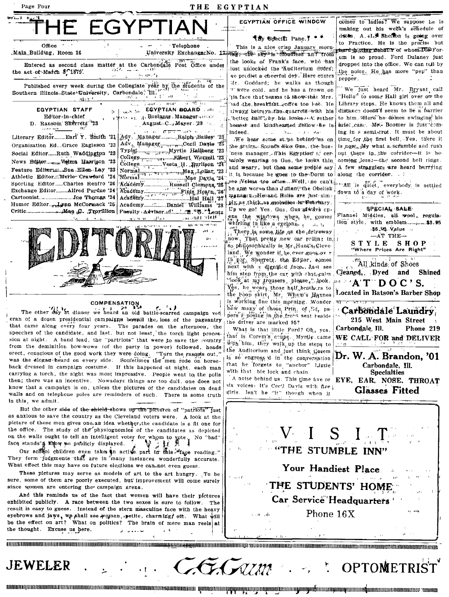

Wim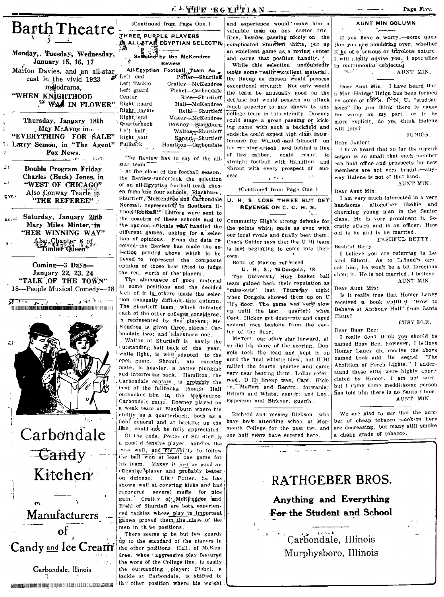Monday, Tuesday, Wednesday, January 15, 16, 17 Marion Davies, and an all-star cast in the vivid 1923 målodrama. "WHEN KNIGHTHOOD **EX WAS IN FLOWER"** 

Barth Theatre

Thursday, January 18th May McAvoy in ... "EVERYTHING FOR SALE" Larry Semon, in "The Agent" Fox News.

Double Program Friday Charles (Buck) Jones, in "WEST OF CHICAGO" Also Conway Tearle in  $2.291$ "THE REFEREE"

Saturday, January 20th Mary Miles Minter, in "HER WINNING WAY" Also Chapter 8 of "Timber Queen"

Coming-3 Days-January 22, 23, 24 "TALK OF THE TOWN" 18-People Musical Comedy-18

न्नाम <u>राचा केले.</u> 

εì

د ل

Carbondale  $\pm$   $\overline{\text{C}}$  and  $\overline{\text{V}}$ Kitchen Manufacturers -

nτ

Candy and Ice Cream

Carbondale, Illinois

THREE PURPLE PLAYERS **ALL STAR EGYPTIAN SELECT'N** Selected by the McKendree Review All-Egyptian Football Team As Left end Left Tackle Cralley-McKendree Left guard Fishel-Carbondale Center Rice-Shurtleff Right guard Hall-McKendree

Right tackle

Quarterback

Right end

Left half

Right half

Fullback

(Continued from Page One.)

Reihl-Shurtleff Maxey-McKendree Downey-Blackburn Walton-Bhurtleff Shrout Shurtleff Hamilton-Carbondale

The Review has to say of the allstar te<del>am:</del>

At the close of the football season. the Review undertook the selection of an all-Egyptian football team chosen from the four schools, Blackburn, Shurtleff, McKendree and Carbondale Normal, represented in Southern IIlinois<sup>a</sup> football.<sup>013</sup> Letters were sent to the coaches of these schools and to the various officials who handled the cifferent games, asking for a selection of opinions. From the data received-the Review has made the selection printed above which is believed to represent the composite opinion of those best fitted to judge the real worth of the players.

The abundance of good material in some positions and the decided lack of it in others made the selection unusually difficult this autumn. The Shurtleff team, which defeated (ach of the other colleges considered, is represented by five players. Mc-Kendree is given three places; Carbondale two; and Blackburn one.

Walton of Shurtleff is easily the cutstanding half back of the year, while light, is well adapted to the open game. Shrout, his running mate, is heavier, a better plunging and interfering back. Hamilton, the Carbondale captain, is probably the best of the fullbacks though Hall outbucked him in the McKendree-Carbondale game. Downey played on a weak team at Blackburn where his ability as a quarterback, both as a field general and at backing up the line, could not be fully appreciated. Of the ends, Potter of Shurtleff is a good d fensive player, handles the pass well, and his ability to follow the ball won at least one game for his team. Maxey is just as good an offensive player and probably better on defense. Like Potter, he has shown well at covering kicks and has recovered several muffs for nice gain. Crall y of McKingwee and Richl of Shurtleff are both experienced tackles whose play in important games proved them the class of the men in th se positions.

There seems to be but few guards up to the standard of the players in the other positions. Hall, of McKendree, whose aggressive play featured the work of the College line, is easily the outstanding player; Fishel, a tackle at Carbondale, is shifted to иниципниканцирнопринципниканцирнопринципник  $|\mathbf{th}_\mathbf{C}|$  other position where his weight

and experience would make him a valuable man on any center trio. Rice, besides passing nicely on the complicated Shurthen shifts, put up an excellent game as a roving center and earns that position handily.

While this selection undoubtedly omits some really rexcellent material. the lineup as chosen would possess exceptional strength. Not only would the team be unusually good on the defthse but would possess an attack much superior to any shown by any college team in this vicinity. Downey could stage a great passing or kicking game with such a backfield and ends; he could expect high class interterence for Walton and himself on his running attack, and behind a line of this caliber, could resort to straight football with Hamilton and Shrout with every prospect of success. 1. ADW

(Continued from Page One.)

U. H. S. LOSE THREE BUT GET REVENGE ON C. C. H. S.

Community High's strong defense for the points which made us even with our local rivals and finally beat them. Coach Snider says that the U Hi team is just beginning to come into their own.

Belts of Marion ref 'rreed.

U. H. S., 16 Dongola, 18 The University High basket ball team gained back their reputation as 'miss-outs'' last Thursday night when Dongola showed them up on U Hi's floor. The game was very slow up until the last quarter; when Capt. Hickey get desporate and caged several nice baskets from the center of the floor.

Meffert, our other star forward, also did his share of the scoring. Dongola took the lead and kept it up until the final whistle blew, but U Hi rallied the fourth quarter and came very near beating them. Lollar referreed. U Hi lineup was, Capt. Hicky. Meffert and Renfro, forwards: Brimm and White, center; and Loy, Epperson and Birkner, guards.

Richard and Wesley Dickson, who have been attending school at Monmouth College for the past two and one half years have entered here

will join? **THNIOR** Dear Junior: I have heard that so far the organization is so small that each member can hold office and prospects for new

members are not very bright,-anyway Halene is not of that kind.

AUNT MIN.

Dear Aunt Min: I am very much interested in a very handsome, altogether likable and charming young man in the Senior class. He is very prominent in Socratic affairs and is an officer. How old is he and is he married.

L'ASHFUL BETTY. Bashful Betty:

I believe you are referring to Leland Elliott. As to Luland's ago. ask him, he won't be a bit ferocious about it. He is not married, I believe. AUNT MIN.

Dear Aunt Min:

Is it really true that Homer Laney received a book entitled "How to Behave at Anthony Hall" from Santa Claus?

EUSY BEE.

Dear Busy Bee: I really don't think you should be

named Busy Bee, however, I believe Homer Laney did receive the above named book and its sequel "The Abolition of Porch Lights." I understand these gifts were highly appreclated by Homer. I am not sure, but I think some meddl:'some person has told him there is no Santa Claus. AUNT MIN.

We are glad to say that the numher of cheap tobacco smokers here are decreasing, but many still smoke a cheap grade of tobacco.

# **RATHGEBER BROS.** Anything and Everything

**For the Student and School** 

Carbondale, Illinois Murphysboro. Illinois

LATHE EGYPTIAN

AUNT MIN GOLUMN

Page Five.

If you have a worry,-some question you are pondering over, whether it he of a serious or frivolous nature, I will aladly advise you. I spec alize in matrimonial subjects.

AUNT MIN. 92. L.C  $\sim$ 

Dear Aunt Min: I have heard that a Man-Hategs' Union has been formed by some of the S. I.N. U. "studentisses" Do you think there is cause for worry on my part,-or to be more explicit, do you think Halene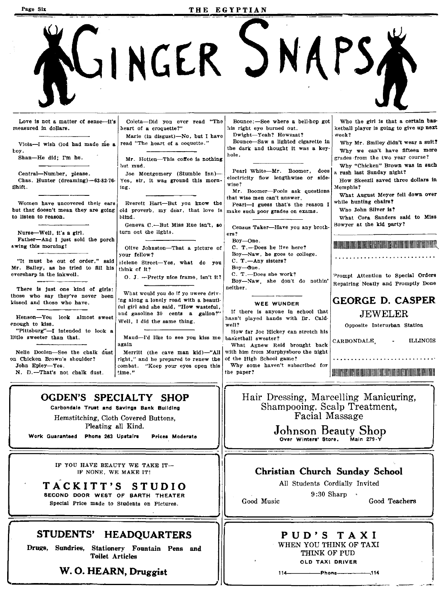Page Six  $THE$ IUINGER SNAPS Who the girl is that a certain bas-Love is not a matter of sense--it's Coleta-Did you ever read "The Bounce:-See where a bell-hop got measured in dollars. heart of a croquette?" his right eye burned out. ketball player is going to give up next Dwight-Yeah? Howzzat? week? Marie (in disgust)-No, but I have<br>read "The heart of a coquette." Bounce-Saw a lighted cigarette in Why Mr. Smiley didn't wear a suit? Viola-I wish God had made me a the dark and thought it was a keytoy.<br>Shan-He did; I'm he. Why we can't have fifteen mare hole. grades 'from the two year course? Mr. Hotten-This coffee is nothing Why "Chicken" Brown was in such but mud. Central-Number, please.<br>Chas. Hunter (dreaming)-63-82-76 Joe Montgomery (Stumble Inn)- Pearl White-Mr. Boomer, does Chas. Hunter (dreaming)-63-82-76 Yes. str. it was ground this morna rush last Sunday night? How Skeezll saved three dollars in Yes, sir, it was ground this mornwise? Shift. ing. ~1emphI8? Mr. Boomer-Fools ask questions What August Meyer fell down over that wise men can't answer. while hunting chairs? Women have uncovered their ears Everett Hart-But you know the but that doesn't mean they are going old proverb. my dear, that love is Pearl-I guess that's the reason I old proverb, my dear, that love is Who John Silver is? make such poor grades on exams. to listen to reason. blind. What Cora Sanders said to Miss Geneva C.-But Miss Rue isn't, so Census Taker-Have you any brothturn out the lights. Nurse-Well, It's a girl. era? Father-And I just sold the porch Boy-one. 11II11I1I1I1I1II111II1II1I1II1I1I1I1I1I1I1U11II1I1II1I1I1I1II1II11I11111111n" .. wing this morning! Olive Johnston-That a picture of C. T.-Does he live here? Boy-Naw, he goes to college. your fellow? <u> 1990 - Johann Stoff, amerikansk kanton og det s</u> C. T.-Any sisters? "It must be out of order," said ielene Street-Yes, what do you Mr. Bailey, as he tried to fill his think of it? Boy-One. C. T.-Does she work?  $\begin{array}{c|c|c|c|c} \hline \text{C. T.}-\text{Does she work?} \ \hline \text{Boy}+\text{Nav} & \text{she} & \text{do not} \ \hline \end{array}$ O. J. --Pretty nice frame, isn't it? Repairing Neatly and Promptly Done neither. There is just one kind of girls: those who say they've never been What would you do if yo uwere driv-<br>kissed and those who have.<br>'along a lonely road with a beauti-GEORGE D. CASPER WEE WUNDER ful girl and she said, "How wastetul, and gasoline 30 cents a gallon?" If there is anyone in school that JEWELER Henson-You look almost sweet well, I did the same thing.<br> $\begin{array}{c|c|c|c|c} \hline \text{hasn't played hands with Dr. Cald-} \end{array}$ enough to kiss.<br>
"Pittsburg"-I intended to look a well? Well, I did the same thing.<br>  $\begin{array}{|l|l|}\n\hline\n\end{array}$  well?<br>  $\begin{array}{|l|l|}\n\hline\n\end{array}$  Well, I did the same thing.<br>  $\begin{array}{|l|l|}\n\hline\n\end{array}$  well? "Pittsburg"-I intended to look a<br>little sweeter than that. Maud-I'd like to see you kiss me basketball sweater? little sweeter than that.<br>
Maud-I'd like to see you kiss me basketball sweater?<br>
What Agnew Reid brought back CARBONDALE,<br>
Nelle Doolen-See the chalk dust Merritt (the cave man kid)-"All with him from Murphysboro the night ILLINOIS Nelle Doolen-See the chalk dust Merritt (the cave man kid)-"All with him from Murphysboro on Chicken Brown's shoulder? right," and he prepared to renew the of the High School game?<br>combat, "Keep your eyes open this Why some haven't subscribed for John Epley-Yes. combat. "Keep your eyes open this Why son<br>time." the paper? ttme." the paper? 111111111111111111111111111111111111111111111111111111111111111111111111111111 N. D.-That's not chalk dust.  $\overline{.}$ I OGDEN'S SPECIALTY SHOP Hair Dressing, Marcelling Manicuring, Shampooing, Scalp Treatment, Carbondale Trust and Savings Bank Building Facial Massage Hemstitching, Cloth Covered Buttons, Pleating all Kind, Johnson Beauty Shop Work Guaranteed Phone 263 Upstalrs Prices Moderate Over Winters' Store. II IF YOU HAVE BEAUTY WE TAKE IT-Christian Church Sunday School IF NONE, WE MAKE IT! All Students Cordially Invited TACKITT'S STUDIO SECOND DOOR WEST OF BARTH THEATER 9:30 Sharp Good Music Good Teachers Special Price made to Students on Pictures.

I

### STUDENTS' HEADQUARTERS

I

Drugs, Sundries, Stationery Fountain Pens and Toilet Articles

W. O. HEARN, Druggist

PUD'S TAXI WHEN YOU THINK OF TAXI THINK OF PUD OLD TAXI DRIVER

114~-----Phone-e----~.114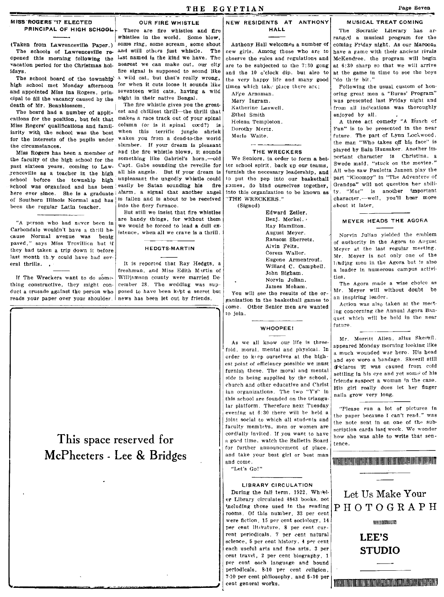THE EGYPTIAN Page Seven

vacation period for the Christmas hol- nearest we can make out, our city are to be subjected to the 7:30 gong<br>idays.

The school board of the township a wild cat, but that's really wrong, the very happy life and many good "do th'ir bit."<br>high school met Monday afternoon for when it cuts loose it sounds like times which take place there a and appointed Miss Ina Rogers, prin- seventeen wild cats, having<br>cipal to fill the yacancy caused by the night in their native Bengal. cipal to fill the vacancy caused by the death of  $Mr$ . Beanblossom.

cations for the position, but felt that  $\frac{\text{make}}{\text{a}}$  a race track out of your spinal<br>Miss Bogers' qualifications and family column (or is it spinaly cord?) is Miss Rogers' qualifications and famil-column (or is it spinal cord?) is is it is in the school was the hest when this terrific jungle shriek iarity with the school was the best when this terrific jungle shriek<br>for the intensets of the number wakes vou from a dead-to-the world for the interests of the pupils under<br>the circumstances

the faculty of the high school for the something like Gabriel's horn, -- old nast sixteen vears coming to Law. Capt. Gabe sounding the reveille for past sixteen years, coming to Law. Capt. Gabe sounding the reveille for<br>renceville as a teacher in the high all his angels. But if your dream is renceville as a teacher in the high all his angels. But if your dream is<br>school hefore the township high unpleasant the ungodly whistle could school before the township high unpleasant the ungodly whistle could<br>school was organized and has been easily be Satan sounding his fire school was organized and has been easily be Satan sounding his fire<br>here exer since. She is a graduate alarm, a signal that another angel here ever since. She is a graduate; alarm, a signal that another angel<br>of Southern Illingis Normal and has, is fallen and is about to be received. of Southern Illinois Normal and has is fallen and is about *the regular* Latin teacher into the flery furnace. been the regular Latin teacher.

"A person who had never been in Carbondale wouldn't have a thrill because Normal avenue was benlg paved," says Miss Trovillion but if they had taken a trip down it before last month they could have had several thrills.

If The Wreckers want to do something constructive, they might conduct a crusade against the person who posed to have been kept a secret but reads your paper over your shoulder. news has been let out by friends.

*r* 



The fire whistle gives you the great-<br>est and chilliest thrill—the thrill that The board had a number of appli-  $est$  and chilliest thrill—the thrill that thous for the position but fait that makes a race track out of your spinal slumber. If your dream is pleasant<br>and the fire whistle blows, it sounds Miss Rogers has been a member of and the fire whistle blows, it sounds<br>as faculty of the high school for the something like Gabriel's horn -- old

But still we Insist that fire whistles are handy things, for without them we would be forced to lead a dull ex- !stence, when all we crave Is a thrill.

### HEOGTS-MARTIN

It is reported that Ray Hedgts, a freshman, and Miss Edith Martin of<br>Williamson county were married December 28. The wedding was sup-

## This space reserved for McPheeters - Lee & Bridges

# $M$ ISS ROGERS '17 ELECTED  $\begin{array}{|l|}\n\hline\n\end{array}$  OUR FIRE WHISTLE  $\begin{array}{|l|}\n\hline\n\end{array}$  NEW RESIDENTS AT ANTHONY

| Al'ce Arnsman.     |
|--------------------|
| Mary Ingram.       |
| Katherine Laswell. |
| Ethel Smith        |
| Helena Templeton.  |
| Dorothy Mertz.     |
| Merle Waite.       |

#### THE WRECKERS

We Seniors, in order to form a betler school spirit, back up our teams, furnish the necessary leadership, and pames, do bind ourselves together.

> Edward Zeiler. Benj. Merkel. ' Ray Hamilton. August Meyer. Ransom Sherretz. Alvin Felts. Corem Waller. Eugene Armentrout. Willard C. Campbell. John Bigham. Norvin Julian. James Moham.

You will see the reaults of the organization in the basketball games to come. Other Senior men are wanted :0 join.

### WHOOPEE I

As we all know our life is threefold. moral. mental and physical. In order to keep ourselves at the highest point of efficIency possible we must furnish these. The moral and mental side is being supplied by the school, church and other educative and Christ ian organizations. The two "Y's" In tbls school are founded on the triangular piatform. Therefore next Tuesday evening at 6:30 there will be held a joint social to which all students and faculty membirs, men or women are cordially invited. If you want to have a good time, watch the Bulletin Board for further announcement of place. and take your best girl or best man and come.

"Let's Go!"

LIBRARY CIRCULATION During the fall term, 1922. Wh;eler Library circulated 4843 books. not ',ncludlng those used In the reading rooms. Of this number, 33 per cent were fiction. 15 per cent sociology. 14 per cent literature, 8 per cent current periodicals, 7 per cent natural science, 5 per cent history, 4 per cent each useful arts and fine arts, 3 per cent travel, 2 per cent biography, 1 per cent each language and bound periodicals, 8-10 per cent religion, 7-10 per cent philosophy, and 6-10 per

#### --~- <sup>~</sup> MUSICAL TREAT COMING

whistles in the world. Some blow,  $\begin{array}{c|c}\n\hline\n\text{number of} & \text{range of} \\
\hline\n\end{array}$  rang.d a musical program for the some scream, some shout Anthony Hall welcomes a number of coming Friday night. As our Maroons The Socratic Literary has ar- (Taken from Lawrenceville Paper.) some ring, some scream, some shout Anthony Hall welcomes a number of coming Friday night. As our Maroons<br>The schools of Lawrenceville re. and still others just whistle. The new girls. Amon The schools of Lawrenceville re- and still others just whistle. The new girls. Among those who are to have a game with their ancient rivals opened this morning following the <sup>last</sup> named is the kind we have. The observe t last named is the kind we have. The observe the rules and regulations and McKendree, the program will begin nearest we can make out, our city are to be subjected to the 7:30 gong at 6:30 sharp so that we will arrive ays. fire signal is supposed to sound like and the 10 o'clock dip, but also to at the game in time to see the boys<br>The school board of the township a wild cat, but that's really wrong, the very happy life and many good "d

> oring great men a "Burns' Program" was presented last Friday night and from all indications was thoroughly enjoyed by all.

A three act comedy "A Bunch of Fun" is to be presented In the near future. The part of Lynn Lockwood, the man "Who takes off his face" is played by Bain Hunsaker. Another important character is Christina, a Swede maid, "stuck on the movies." All who saw Pauletta Jansen play the<br>nart "Kloompy" in "The Adventure of to put the pep into our basketball part "Kloompy" in "The Adventure' of cames, do bind ourselves together  $\frac{1}{2}$  Grandpa" will not question her abiliinto this organization to be known as  $\mathbf{t}$  ty. "Mac" is another important "THE WRECKERS." character,—well, you'll hear more (Signed) about it later.

### MEYER HEADS THE AGORA

Norvin Julian yielded the emhlem of authority in the Agora to August Meyer at the last regular meeting, Mr. Meyer is not only one of the lading men in the Agora but is also a leader in numerous campus activities.

Tbe Agora made a wise choice as Mr. Meyer will without doubt be an inspiring leader.

Action was also taken at the meeting concerning the Annual Agora Banquet which will be held in tbe near future.

Mr. Merritt Allen, alias Skeezil. appeared Monday morning looking like a much wounded war hero. His head and eye wore a bandage. Skeezil still delares it was caused from cold settling in his eye and yet some of his friends suspect a woman in the case. His girl really does let her finger nails grow very long.

"Please run a lot of pictures In the paper because I can't rean." was the note sent in on one of the subscription cards last week. We wonder how she was able to write that sentence.

### 11l111111111111l1ll1l1l1ll1l1l1l11l1l11l1l1ll1l1l1mllll!llUlIIIIIIIllIIIIR